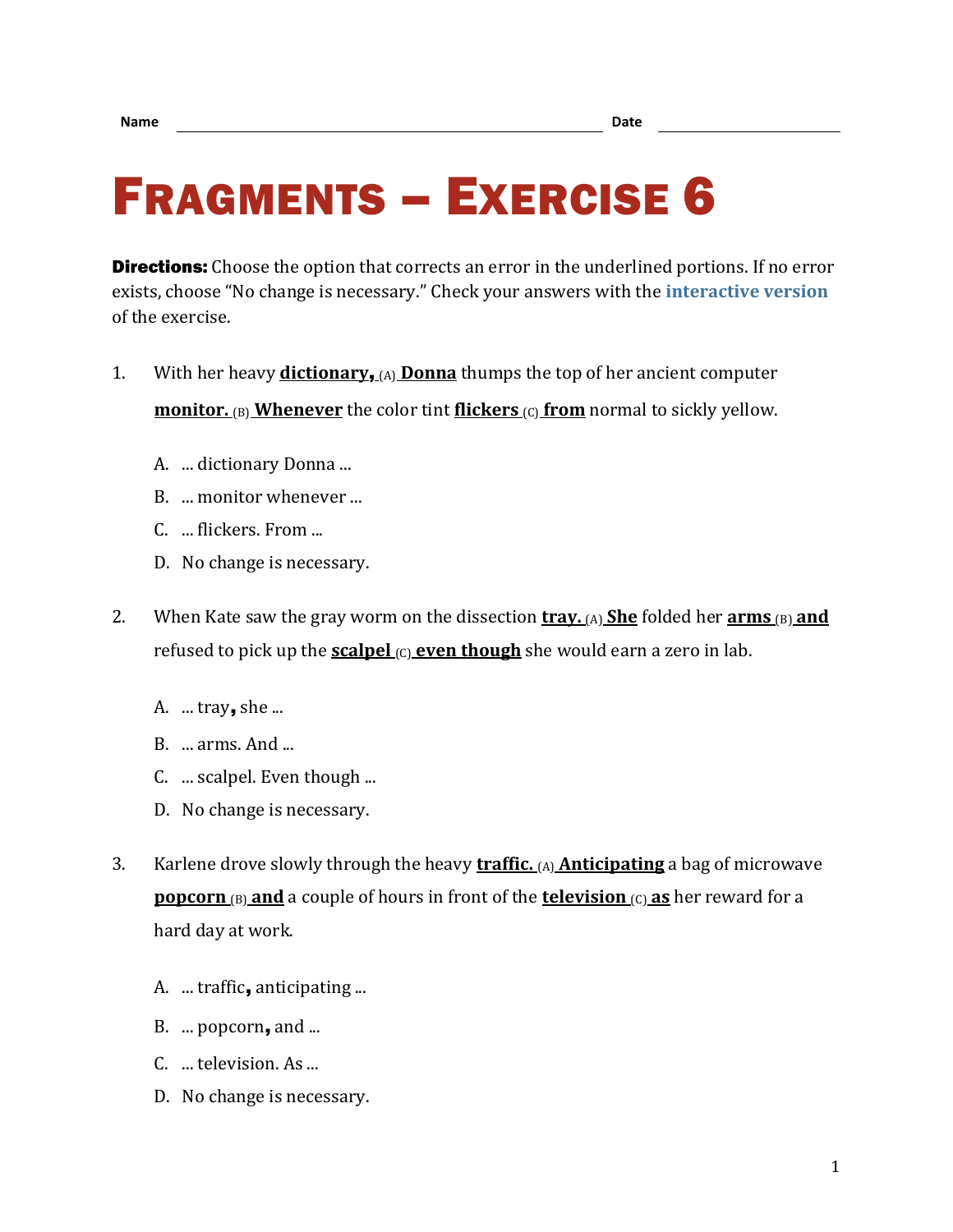## FRAGMENTS – EXERCISE 6

**Directions:** Choose the option that corrects an error in the underlined portions. If no error exists, choose "No change is necessary." Check your answers with the **[interactive version](https://chompchomp.com/frag06/)** of the exercise.

1. With her heavy **dictionary**, (A) **Donna** thumps the top of her ancient computer

**monitor.** (B) **Whenever** the color tint **flickers** (C) **from** normal to sickly yellow.

- A. ... dictionary Donna ...
- B. ... monitor whenever ...
- C. ... flickers. From ...
- D. No change is necessary.
- 2. When Kate saw the gray worm on the dissection **tray.** (A) **She** folded her **arms** (B) **and** refused to pick up the **scalpel**  $\overline{C}$  **even though** she would earn a zero in lab.
	- A. ... tray, she ...
	- B. ... arms. And ...
	- C. ... scalpel. Even though ...
	- D. No change is necessary.
- 3. Karlene drove slowly through the heavy **traffic.** (A) **Anticipating** a bag of microwave **popcorn** (B) **and** a couple of hours in front of the **television** (C) **as** her reward for a hard day at work.
	- A. ... traffic, anticipating ...
	- B. ... popcorn, and ...
	- C. ... television. As ...
	- D. No change is necessary.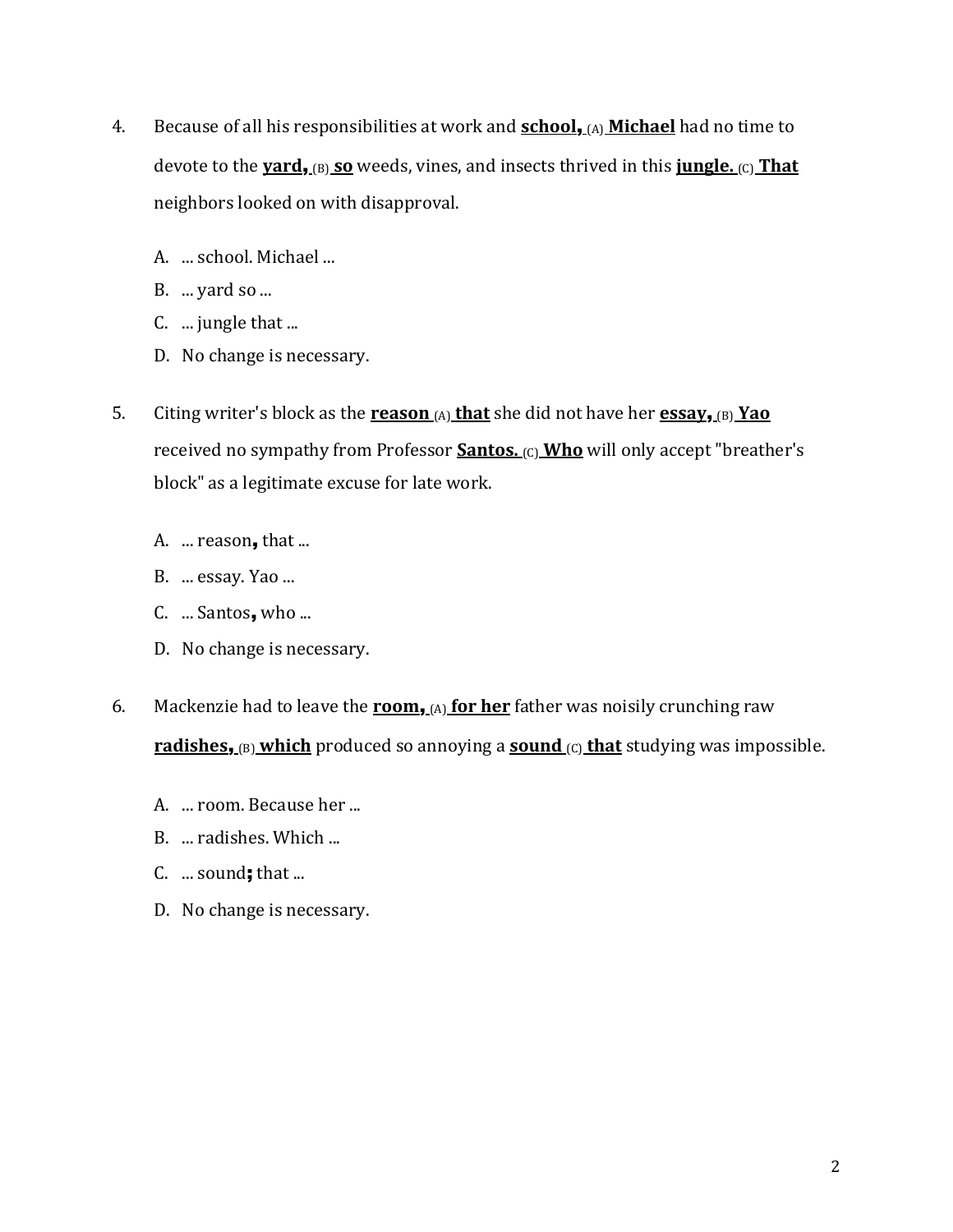- 4. Because of all his responsibilities at work and **school**, (A) **Michael** had no time to devote to the **yard**, (B) **so** weeds, vines, and insects thrived in this **jungle.** (C) **That** neighbors looked on with disapproval.
	- A. ... school. Michael ...
	- B. ... yard so ...
	- C. ... jungle that ...
	- D. No change is necessary.
- 5. Citing writer's block as the **reason** (A) **that** she did not have her **essay**, (B) **Yao** received no sympathy from Professor **Santos.** (c) **Who** will only accept "breather's block" as a legitimate excuse for late work.
	- A. ... reason, that ...
	- B. ... essay. Yao ...
	- C. ... Santos, who ...
	- D. No change is necessary.
- 6. Mackenzie had to leave the **room**, (A) **for her** father was noisily crunching raw **radishes, (B) which** produced so annoying a **sound** (C) **that** studying was impossible.
	- A. ... room. Because her ...
	- B. ... radishes. Which ...
	- C. ... sound; that ...
	- D. No change is necessary.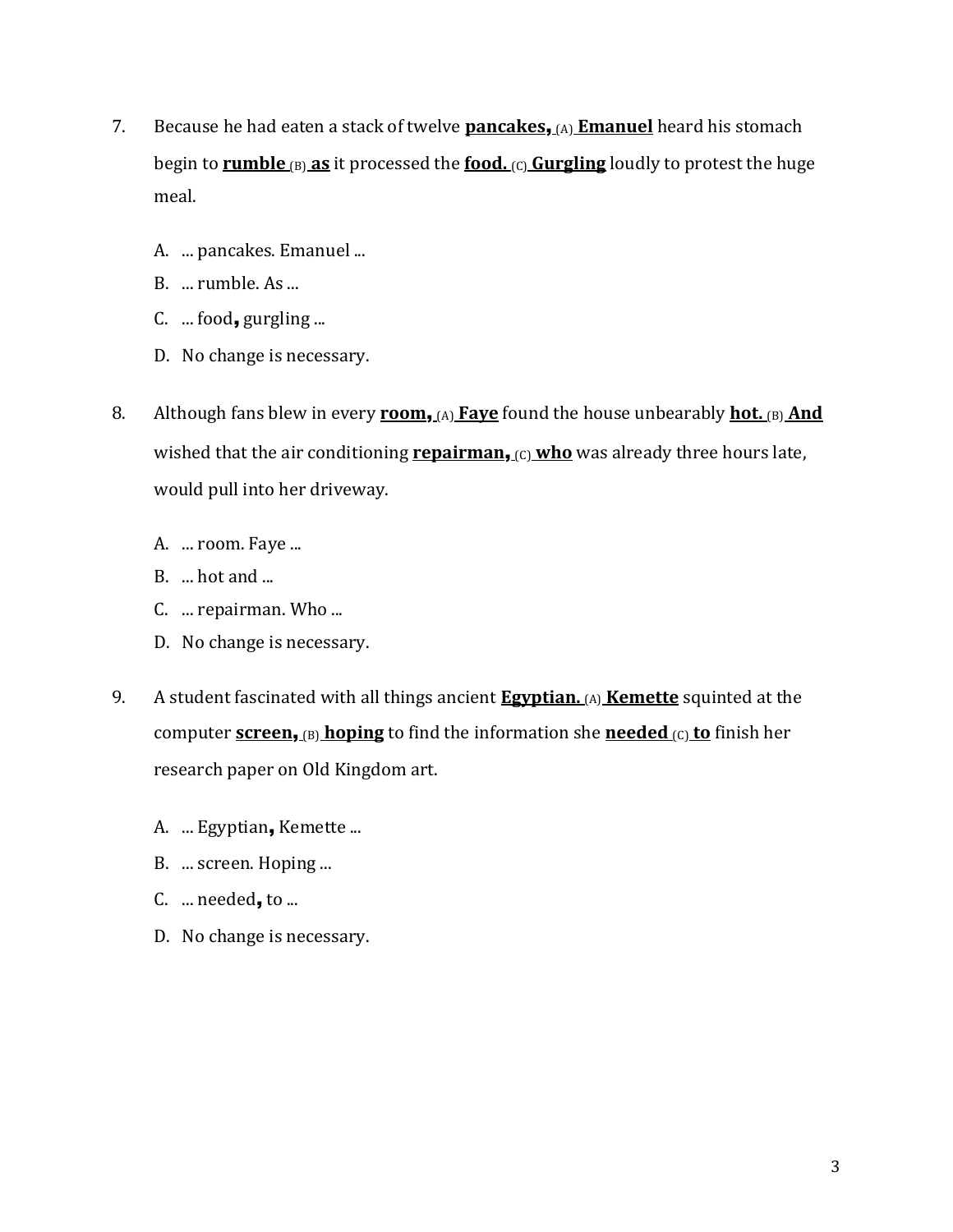- 7. Because he had eaten a stack of twelve **pancakes**, (A) **Emanuel** heard his stomach begin to **rumble** (B) **as** it processed the **food.** (C) **Gurgling** loudly to protest the huge meal.
	- A. ... pancakes. Emanuel ...
	- B. ... rumble. As ...
	- C. ... food, gurgling ...
	- D. No change is necessary.
- 8. Although fans blew in every **room**, (A) **Fave** found the house unbearably **hot.** (B) **And** wished that the air conditioning **repairman**, (c) who was already three hours late, would pull into her driveway.
	- A. ... room. Faye ...
	- B. ... hot and ...
	- C. ... repairman. Who ...
	- D. No change is necessary.
- 9. A student fascinated with all things ancient **Egyptian.** (A) **Kemette** squinted at the computer **screen**, (B) **hoping** to find the information she **needed** (C) **to** finish her research paper on Old Kingdom art.
	- A. ... Egyptian, Kemette ...
	- B. ... screen. Hoping ...
	- C. ... needed, to ...
	- D. No change is necessary.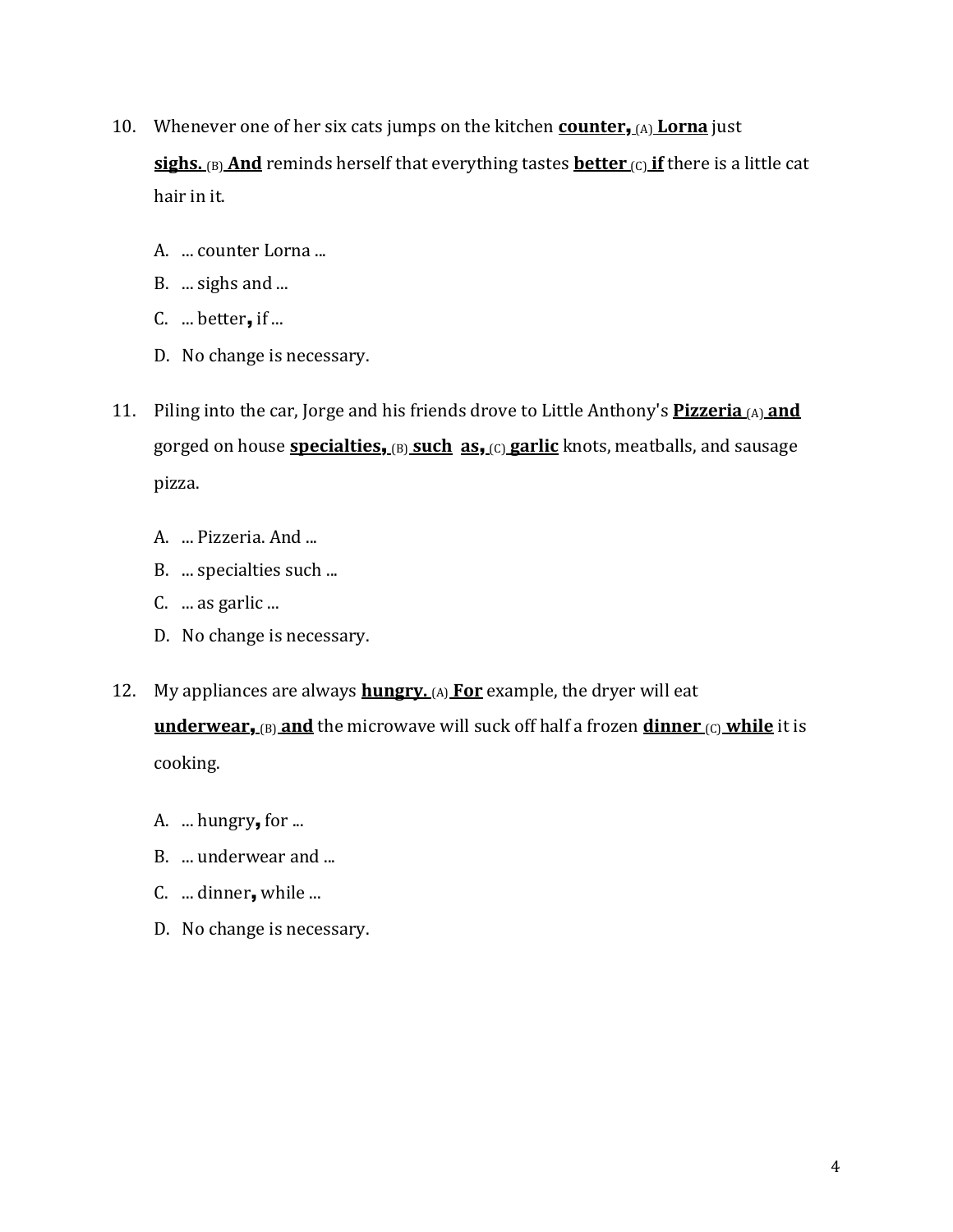- 10. Whenever one of her six cats jumps on the kitchen **counter**, (A) **Lorna** just **sighs.** (B) **And** reminds herself that everything tastes **better**  $(C)$  **if** there is a little cat hair in it.
	- A. ... counter Lorna ...
	- B. ... sighs and ...
	- C.  $\dots$  better, if  $\dots$
	- D. No change is necessary.
- 11. Piling into the car, Jorge and his friends drove to Little Anthony's **Pizzeria** (A) **and** gorged on house **specialties,** (B) **such as,** (C) **garlic** knots, meatballs, and sausage pizza.
	- A. ... Pizzeria. And ...
	- B. ... specialties such ...
	- C. ... as garlic ...
	- D. No change is necessary.
- 12. My appliances are always **hungry.** (A) **For** example, the dryer will eat **underwear, (B) and the microwave will suck off half a frozen <b>dinner** (C) while it is cooking.
	- A. ... hungry, for ...
	- B. ... underwear and ...
	- C. ... dinner, while ...
	- D. No change is necessary.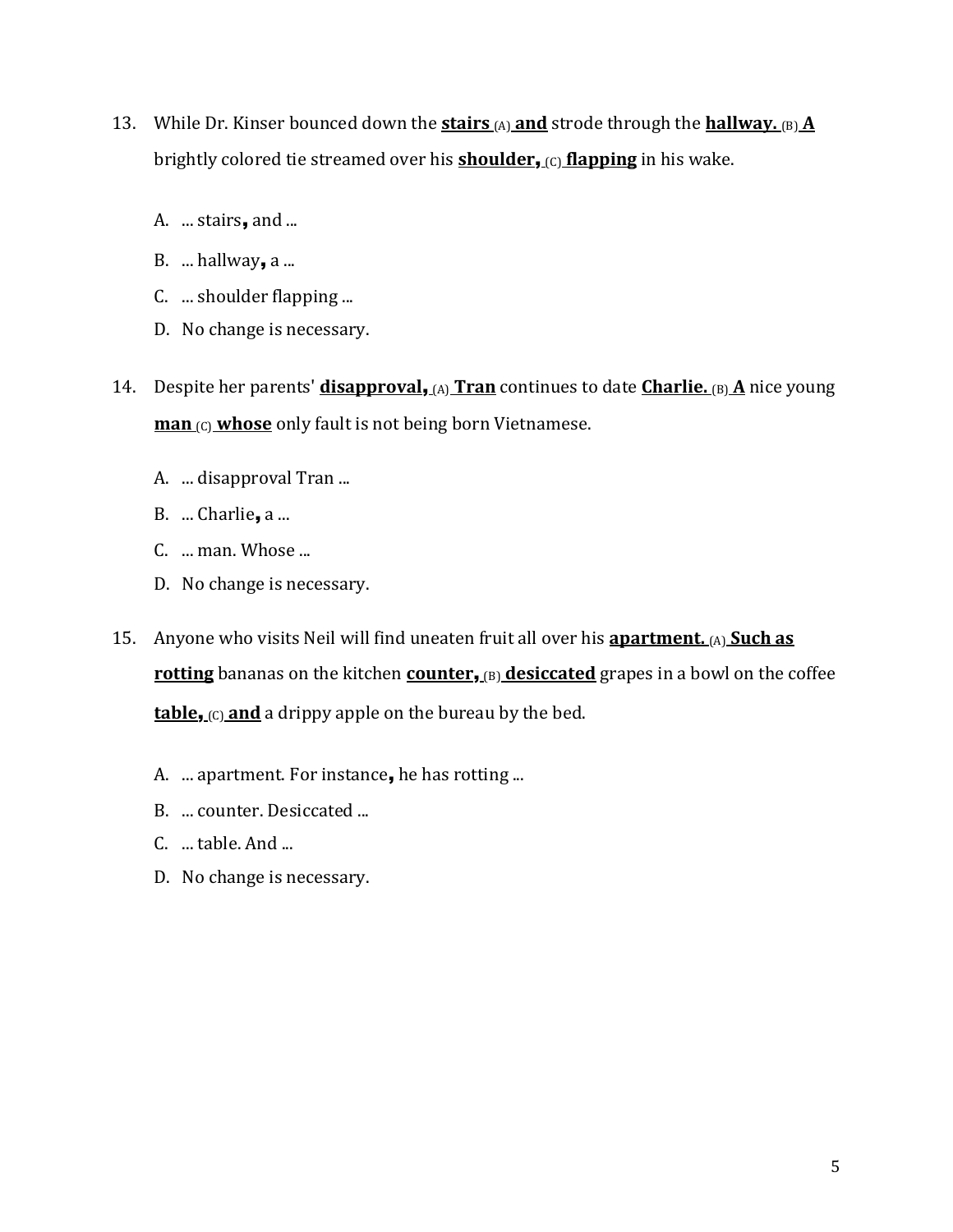- 13. While Dr. Kinser bounced down the **stairs**  $(A)$  and strode through the **hallway.**  $(B)$  **A** brightly colored tie streamed over his **shoulder**, (C) **flapping** in his wake.
	- A. ... stairs, and ...
	- B.  $\dots$  hallway, a  $\dots$
	- C. ... shoulder flapping ...
	- D. No change is necessary.
- 14. Despite her parents' **disapproval**, (A) **Tran** continues to date **Charlie.** (B) **A** nice young **man** (c) **whose** only fault is not being born Vietnamese.
	- A. ... disapproval Tran ...
	- B. ... Charlie, a ...
	- C. ... man. Whose ...
	- D. No change is necessary.
- 15. Anyone who visits Neil will find uneaten fruit all over his **apartment.** (A) **Such as rotting** bananas on the kitchen **counter,** (B) **desiccated** grapes in a bowl on the coffee **table, (C) and** a drippy apple on the bureau by the bed.
	- A. ... apartment. For instance, he has rotting ...
	- B. ... counter. Desiccated ...
	- C. ... table. And ...
	- D. No change is necessary.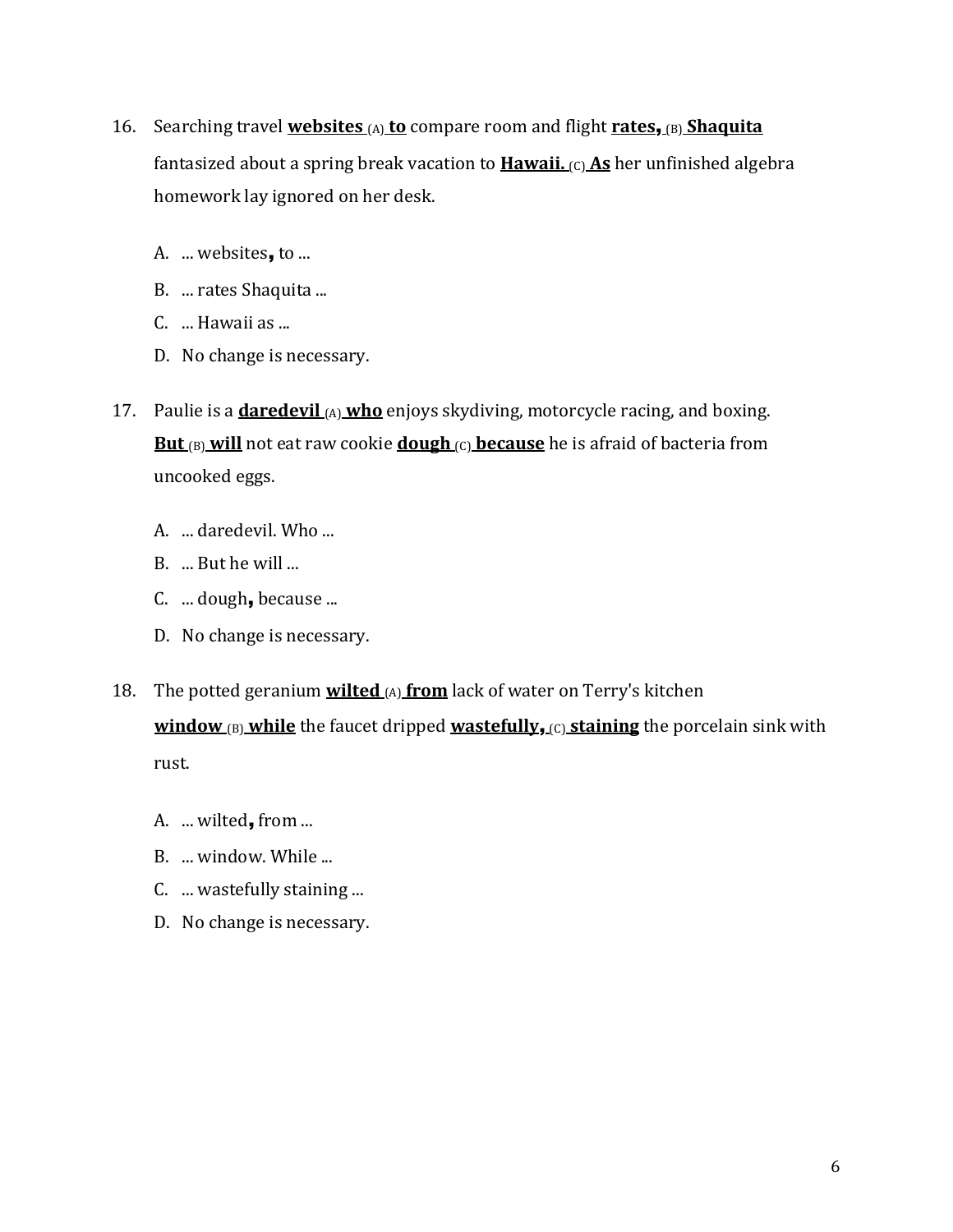- 16. Searching travel **websites** (A) **to** compare room and flight **rates**, (B) **Shaquita** fantasized about a spring break vacation to **Hawaii.** <sup>(C)</sup> As her unfinished algebra homework lay ignored on her desk.
	- A. ... websites, to ...
	- B. ... rates Shaquita ...
	- C. ... Hawaii as ...
	- D. No change is necessary.
- 17. Paulie is a **daredevil** (A) who enjoys skydiving, motorcycle racing, and boxing. **But** (B) will not eat raw cookie **dough** (C) **because** he is afraid of bacteria from uncooked eggs.
	- A. ... daredevil. Who ...
	- B. ... But he will ...
	- C. ... dough, because ...
	- D. No change is necessary.
- 18. The potted geranium **wilted** (A) **from** lack of water on Terry's kitchen **window** (B) **while** the faucet dripped **wastefully**, (c) **staining** the porcelain sink with rust.
	- A. ... wilted, from ...
	- B. ... window. While ...
	- C. ... wastefully staining ...
	- D. No change is necessary.